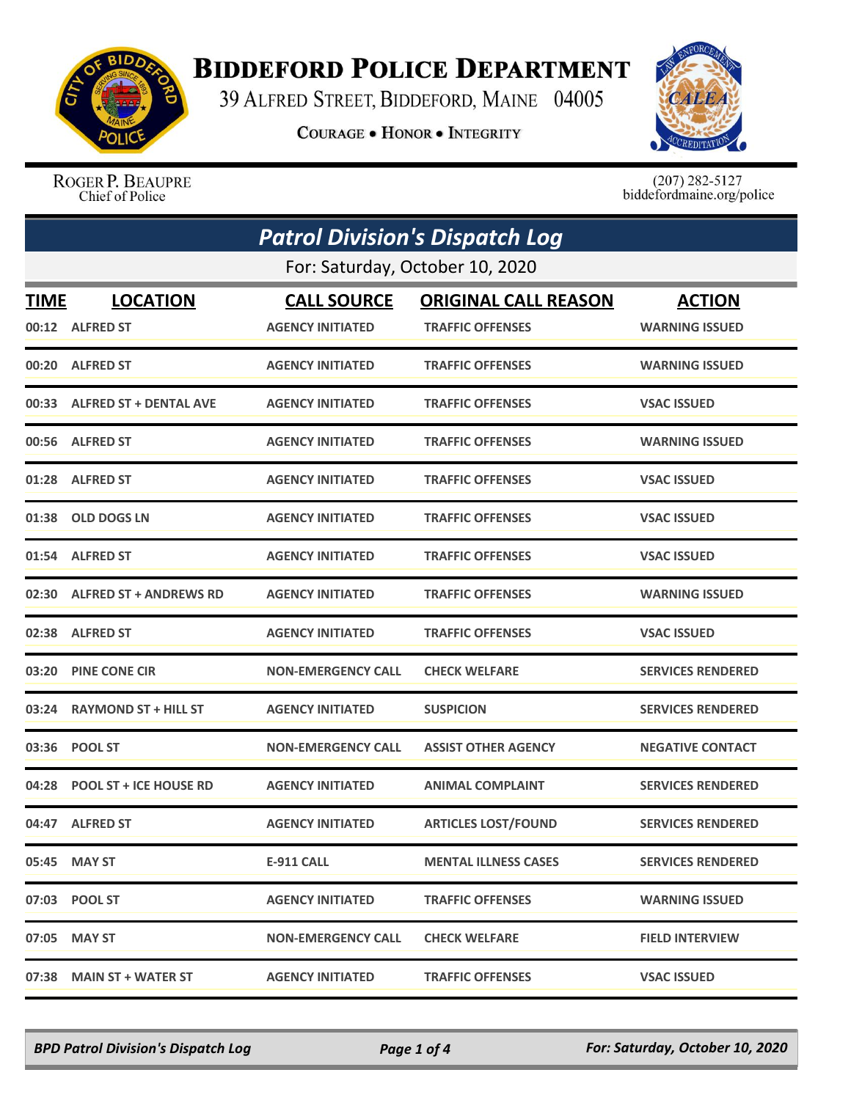

## **BIDDEFORD POLICE DEPARTMENT**

39 ALFRED STREET, BIDDEFORD, MAINE 04005

**COURAGE . HONOR . INTEGRITY** 



ROGER P. BEAUPRE Chief of Police

 $(207)$  282-5127<br>biddefordmaine.org/police

|                                 | <b>Patrol Division's Dispatch Log</b> |                           |                             |                          |  |
|---------------------------------|---------------------------------------|---------------------------|-----------------------------|--------------------------|--|
| For: Saturday, October 10, 2020 |                                       |                           |                             |                          |  |
| TIME                            | <b>LOCATION</b>                       | <b>CALL SOURCE</b>        | <b>ORIGINAL CALL REASON</b> | <b>ACTION</b>            |  |
|                                 | 00:12 ALFRED ST                       | <b>AGENCY INITIATED</b>   | <b>TRAFFIC OFFENSES</b>     | <b>WARNING ISSUED</b>    |  |
|                                 | 00:20 ALFRED ST                       | <b>AGENCY INITIATED</b>   | <b>TRAFFIC OFFENSES</b>     | <b>WARNING ISSUED</b>    |  |
|                                 | 00:33 ALFRED ST + DENTAL AVE          | <b>AGENCY INITIATED</b>   | <b>TRAFFIC OFFENSES</b>     | <b>VSAC ISSUED</b>       |  |
|                                 | 00:56 ALFRED ST                       | <b>AGENCY INITIATED</b>   | <b>TRAFFIC OFFENSES</b>     | <b>WARNING ISSUED</b>    |  |
|                                 | 01:28 ALFRED ST                       | <b>AGENCY INITIATED</b>   | <b>TRAFFIC OFFENSES</b>     | <b>VSAC ISSUED</b>       |  |
| 01:38                           | <b>OLD DOGS LN</b>                    | <b>AGENCY INITIATED</b>   | <b>TRAFFIC OFFENSES</b>     | <b>VSAC ISSUED</b>       |  |
|                                 | 01:54 ALFRED ST                       | <b>AGENCY INITIATED</b>   | <b>TRAFFIC OFFENSES</b>     | <b>VSAC ISSUED</b>       |  |
|                                 | 02:30 ALFRED ST + ANDREWS RD          | <b>AGENCY INITIATED</b>   | <b>TRAFFIC OFFENSES</b>     | <b>WARNING ISSUED</b>    |  |
|                                 | 02:38 ALFRED ST                       | <b>AGENCY INITIATED</b>   | <b>TRAFFIC OFFENSES</b>     | <b>VSAC ISSUED</b>       |  |
| 03:20                           | <b>PINE CONE CIR</b>                  | <b>NON-EMERGENCY CALL</b> | <b>CHECK WELFARE</b>        | <b>SERVICES RENDERED</b> |  |
|                                 | 03:24 RAYMOND ST + HILL ST            | <b>AGENCY INITIATED</b>   | <b>SUSPICION</b>            | <b>SERVICES RENDERED</b> |  |
|                                 | 03:36 POOL ST                         | <b>NON-EMERGENCY CALL</b> | <b>ASSIST OTHER AGENCY</b>  | <b>NEGATIVE CONTACT</b>  |  |
| 04:28                           | <b>POOL ST + ICE HOUSE RD</b>         | <b>AGENCY INITIATED</b>   | <b>ANIMAL COMPLAINT</b>     | <b>SERVICES RENDERED</b> |  |
|                                 | 04:47 ALFRED ST                       | <b>AGENCY INITIATED</b>   | <b>ARTICLES LOST/FOUND</b>  | <b>SERVICES RENDERED</b> |  |
|                                 | 05:45 MAY ST                          | <b>E-911 CALL</b>         | <b>MENTAL ILLNESS CASES</b> | <b>SERVICES RENDERED</b> |  |
|                                 | 07:03 POOL ST                         | <b>AGENCY INITIATED</b>   | <b>TRAFFIC OFFENSES</b>     | <b>WARNING ISSUED</b>    |  |
| 07:05                           | <b>MAY ST</b>                         | <b>NON-EMERGENCY CALL</b> | <b>CHECK WELFARE</b>        | <b>FIELD INTERVIEW</b>   |  |
| 07:38                           | <b>MAIN ST + WATER ST</b>             | <b>AGENCY INITIATED</b>   | <b>TRAFFIC OFFENSES</b>     | <b>VSAC ISSUED</b>       |  |

*BPD Patrol Division's Dispatch Log Page 1 of 4 For: Saturday, October 10, 2020*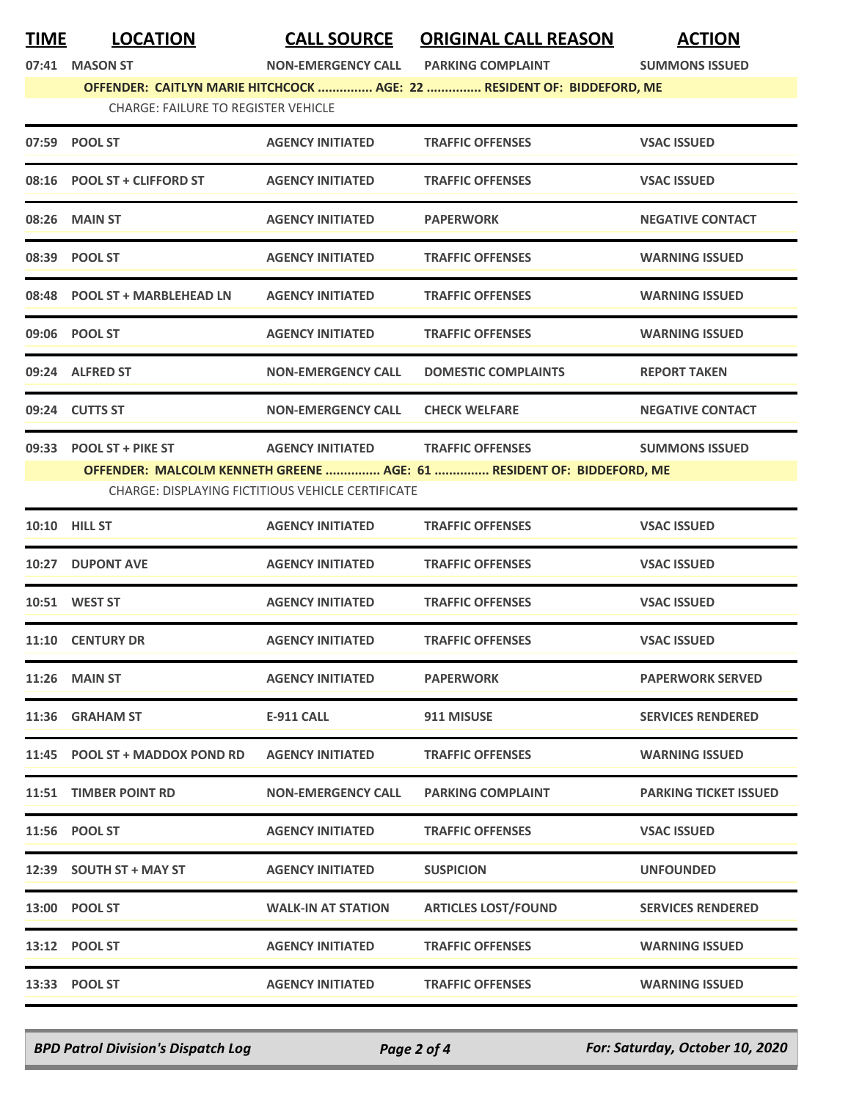**TIME LOCATION CALL SOURCE ORIGINAL CALL REASON ACTION**

**07:41 MASON ST NON-EMERGENCY CALL PARKING COMPLAINT SUMMONS ISSUED**

**OFFENDER: CAITLYN MARIE HITCHCOCK ............... AGE: 22 ............... RESIDENT OF: BIDDEFORD, ME**

|  |  | <b>CHARGE: FAILURE TO REGISTER VEHICLE</b> |  |
|--|--|--------------------------------------------|--|
|  |  |                                            |  |

| 07:59 POOL ST                                            | <b>AGENCY INITIATED</b>   | <b>TRAFFIC OFFENSES</b>                                               | <b>VSAC ISSUED</b>      |  |  |
|----------------------------------------------------------|---------------------------|-----------------------------------------------------------------------|-------------------------|--|--|
| 08:16 POOL ST + CLIFFORD ST                              | <b>AGENCY INITIATED</b>   | <b>TRAFFIC OFFENSES</b>                                               | <b>VSAC ISSUED</b>      |  |  |
| 08:26 MAIN ST                                            | <b>AGENCY INITIATED</b>   | <b>PAPERWORK</b>                                                      | <b>NEGATIVE CONTACT</b> |  |  |
| 08:39 POOL ST                                            | <b>AGENCY INITIATED</b>   | <b>TRAFFIC OFFENSES</b>                                               | <b>WARNING ISSUED</b>   |  |  |
| 08:48 POOL ST + MARBLEHEAD LN                            | <b>AGENCY INITIATED</b>   | <b>TRAFFIC OFFENSES</b>                                               | <b>WARNING ISSUED</b>   |  |  |
| 09:06 POOL ST                                            | <b>AGENCY INITIATED</b>   | <b>TRAFFIC OFFENSES</b>                                               | <b>WARNING ISSUED</b>   |  |  |
| 09:24 ALFRED ST                                          | <b>NON-EMERGENCY CALL</b> | <b>DOMESTIC COMPLAINTS</b>                                            | <b>REPORT TAKEN</b>     |  |  |
| 09:24 CUTTS ST                                           | <b>NON-EMERGENCY CALL</b> | <b>CHECK WELFARE</b>                                                  | <b>NEGATIVE CONTACT</b> |  |  |
|                                                          |                           | OFFENDER: MALCOLM KENNETH GREENE  AGE: 61  RESIDENT OF: BIDDEFORD, ME | <b>SUMMONS ISSUED</b>   |  |  |
| <b>CHARGE: DISPLAYING FICTITIOUS VEHICLE CERTIFICATE</b> |                           |                                                                       |                         |  |  |
| <b>10:10 HILL ST</b>                                     | <b>AGENCY INITIATED</b>   | <b>TRAFFIC OFFENSES</b>                                               | <b>VSAC ISSUED</b>      |  |  |
| 10:27 DUPONT AVE                                         | <b>AGENCY INITIATED</b>   | <b>TRAFFIC OFFENSES</b>                                               | <b>VSAC ISSUED</b>      |  |  |
| 10:51 WEST ST                                            | <b>AGENCY INITIATED</b>   | <b>TRAFFIC OFFENSES</b>                                               | <b>VSAC ISSUED</b>      |  |  |
| 11:10 CENTURY DR                                         | <b>AGENCY INITIATED</b>   | <b>TRAFFIC OFFENSES</b>                                               | <b>VSAC ISSUED</b>      |  |  |

| 11:10 | <b>CENTURY DR</b>               | <b>AGENCY INITIATED</b>   | <b>TRAFFIC OFFENSES</b>    | <b>VSAC ISSUED</b>           |
|-------|---------------------------------|---------------------------|----------------------------|------------------------------|
| 11:26 | <b>MAIN ST</b>                  | <b>AGENCY INITIATED</b>   | <b>PAPERWORK</b>           | <b>PAPERWORK SERVED</b>      |
| 11:36 | <b>GRAHAM ST</b>                | <b>E-911 CALL</b>         | 911 MISUSE                 | <b>SERVICES RENDERED</b>     |
| 11:45 | <b>POOL ST + MADDOX POND RD</b> | <b>AGENCY INITIATED</b>   | <b>TRAFFIC OFFENSES</b>    | <b>WARNING ISSUED</b>        |
| 11:51 | <b>TIMBER POINT RD</b>          | <b>NON-EMERGENCY CALL</b> | <b>PARKING COMPLAINT</b>   | <b>PARKING TICKET ISSUED</b> |
|       | 11:56 POOL ST                   | <b>AGENCY INITIATED</b>   | <b>TRAFFIC OFFENSES</b>    | <b>VSAC ISSUED</b>           |
|       | 12:39 SOUTH ST + MAY ST         | <b>AGENCY INITIATED</b>   | <b>SUSPICION</b>           | <b>UNFOUNDED</b>             |
| 13:00 | <b>POOL ST</b>                  | <b>WALK-IN AT STATION</b> | <b>ARTICLES LOST/FOUND</b> | <b>SERVICES RENDERED</b>     |
| 13:12 | <b>POOL ST</b>                  | <b>AGENCY INITIATED</b>   | <b>TRAFFIC OFFENSES</b>    | <b>WARNING ISSUED</b>        |
|       | 13:33 POOL ST                   | <b>AGENCY INITIATED</b>   | <b>TRAFFIC OFFENSES</b>    | <b>WARNING ISSUED</b>        |

*BPD Patrol Division's Dispatch Log Page 2 of 4 For: Saturday, October 10, 2020*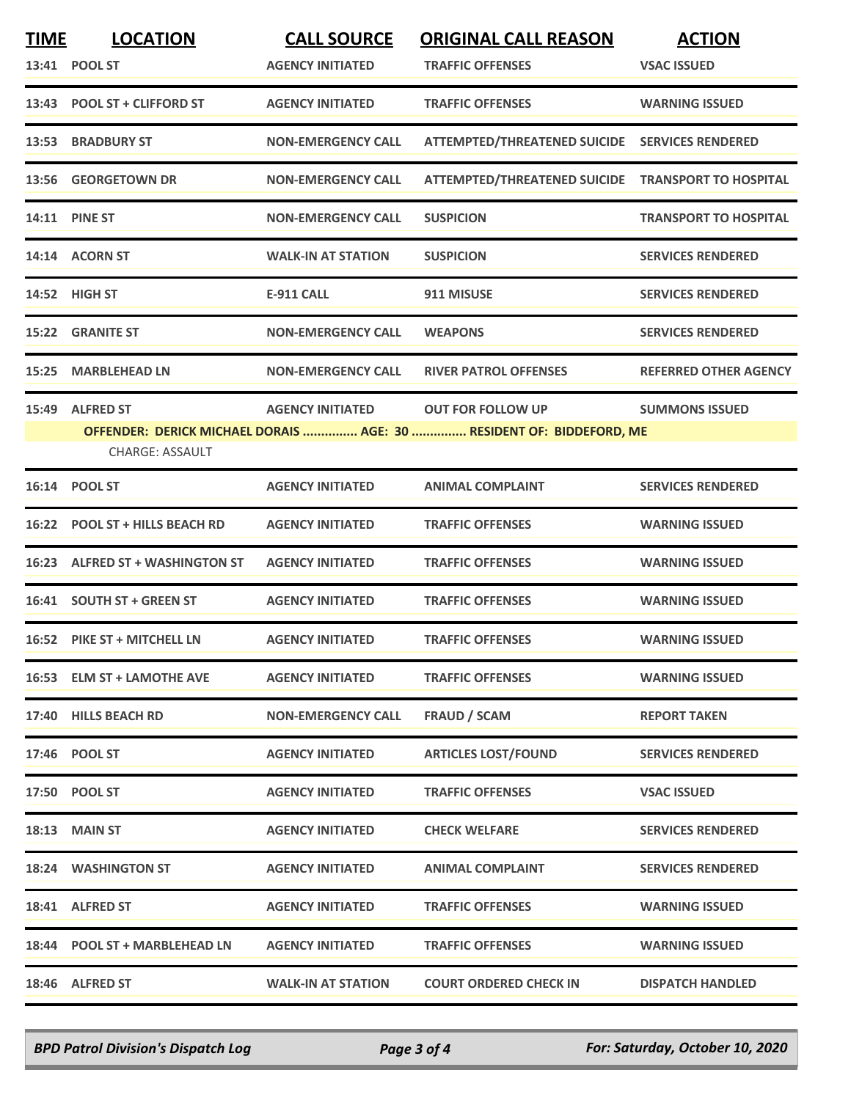| <b>TIME</b> | <b>LOCATION</b><br>13:41 POOL ST           | <b>CALL SOURCE</b><br><b>AGENCY INITIATED</b> | <b>ORIGINAL CALL REASON</b><br><b>TRAFFIC OFFENSES</b>                                           | <b>ACTION</b><br><b>VSAC ISSUED</b> |
|-------------|--------------------------------------------|-----------------------------------------------|--------------------------------------------------------------------------------------------------|-------------------------------------|
|             | 13:43 POOL ST + CLIFFORD ST                | <b>AGENCY INITIATED</b>                       | <b>TRAFFIC OFFENSES</b>                                                                          | <b>WARNING ISSUED</b>               |
|             | 13:53 BRADBURY ST                          | <b>NON-EMERGENCY CALL</b>                     | ATTEMPTED/THREATENED SUICIDE SERVICES RENDERED                                                   |                                     |
|             | 13:56 GEORGETOWN DR                        | <b>NON-EMERGENCY CALL</b>                     | ATTEMPTED/THREATENED SUICIDE TRANSPORT TO HOSPITAL                                               |                                     |
|             | 14:11 PINE ST                              | <b>NON-EMERGENCY CALL</b>                     | <b>SUSPICION</b>                                                                                 | <b>TRANSPORT TO HOSPITAL</b>        |
|             | 14:14 ACORN ST                             | <b>WALK-IN AT STATION</b>                     | <b>SUSPICION</b>                                                                                 | <b>SERVICES RENDERED</b>            |
|             | 14:52 HIGH ST                              | <b>E-911 CALL</b>                             | 911 MISUSE                                                                                       | <b>SERVICES RENDERED</b>            |
|             | <b>15:22 GRANITE ST</b>                    | <b>NON-EMERGENCY CALL</b>                     | <b>WEAPONS</b>                                                                                   | <b>SERVICES RENDERED</b>            |
| 15:25       | <b>MARBLEHEAD LN</b>                       | <b>NON-EMERGENCY CALL</b>                     | <b>RIVER PATROL OFFENSES</b>                                                                     | <b>REFERRED OTHER AGENCY</b>        |
| 15:49       | <b>ALFRED ST</b><br><b>CHARGE: ASSAULT</b> | <b>AGENCY INITIATED</b>                       | <b>OUT FOR FOLLOW UP</b><br>OFFENDER: DERICK MICHAEL DORAIS  AGE: 30  RESIDENT OF: BIDDEFORD, ME | <b>SUMMONS ISSUED</b>               |
|             | 16:14 POOL ST                              | <b>AGENCY INITIATED</b>                       | <b>ANIMAL COMPLAINT</b>                                                                          | <b>SERVICES RENDERED</b>            |
|             | 16:22 POOL ST + HILLS BEACH RD             | <b>AGENCY INITIATED</b>                       | <b>TRAFFIC OFFENSES</b>                                                                          | <b>WARNING ISSUED</b>               |
|             | 16:23 ALFRED ST + WASHINGTON ST            | <b>AGENCY INITIATED</b>                       | <b>TRAFFIC OFFENSES</b>                                                                          | <b>WARNING ISSUED</b>               |
|             | 16:41 SOUTH ST + GREEN ST                  | <b>AGENCY INITIATED</b>                       | <b>TRAFFIC OFFENSES</b>                                                                          | <b>WARNING ISSUED</b>               |
|             | 16:52 PIKE ST + MITCHELL LN                | <b>AGENCY INITIATED</b>                       | <b>TRAFFIC OFFENSES</b>                                                                          | <b>WARNING ISSUED</b>               |
|             | 16:53 ELM ST + LAMOTHE AVE                 | <b>AGENCY INITIATED</b>                       | <b>TRAFFIC OFFENSES</b>                                                                          | <b>WARNING ISSUED</b>               |
|             | 17:40 HILLS BEACH RD                       | <b>NON-EMERGENCY CALL</b>                     | <b>FRAUD / SCAM</b>                                                                              | <b>REPORT TAKEN</b>                 |
|             | 17:46 POOL ST                              | <b>AGENCY INITIATED</b>                       | <b>ARTICLES LOST/FOUND</b>                                                                       | <b>SERVICES RENDERED</b>            |
|             | 17:50 POOL ST                              | <b>AGENCY INITIATED</b>                       | <b>TRAFFIC OFFENSES</b>                                                                          | <b>VSAC ISSUED</b>                  |
|             | 18:13 MAIN ST                              | <b>AGENCY INITIATED</b>                       | <b>CHECK WELFARE</b>                                                                             | <b>SERVICES RENDERED</b>            |
|             | <b>18:24 WASHINGTON ST</b>                 | <b>AGENCY INITIATED</b>                       | <b>ANIMAL COMPLAINT</b>                                                                          | <b>SERVICES RENDERED</b>            |
|             | 18:41 ALFRED ST                            | <b>AGENCY INITIATED</b>                       | <b>TRAFFIC OFFENSES</b>                                                                          | <b>WARNING ISSUED</b>               |
|             | 18:44 POOL ST + MARBLEHEAD LN              | <b>AGENCY INITIATED</b>                       | <b>TRAFFIC OFFENSES</b>                                                                          | <b>WARNING ISSUED</b>               |
|             | 18:46 ALFRED ST                            | <b>WALK-IN AT STATION</b>                     | <b>COURT ORDERED CHECK IN</b>                                                                    | <b>DISPATCH HANDLED</b>             |

*BPD Patrol Division's Dispatch Log Page 3 of 4 For: Saturday, October 10, 2020*